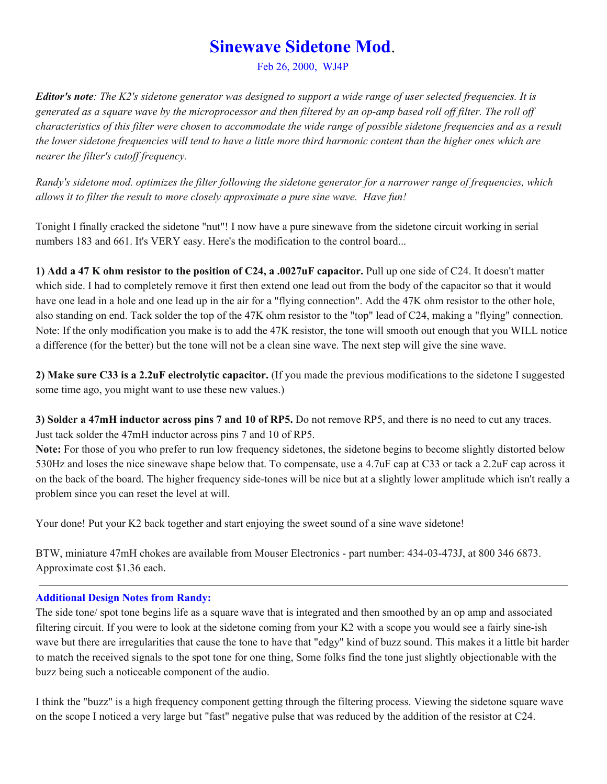# **Sinewave Sidetone Mod**.

Feb 26, 2000, WJ4P

**Editor's note**: The K2's sidetone generator was designed to support a wide range of user selected frequencies. It is generated as a square wave by the microprocessor and then filtered by an op-amp based roll off filter. The roll off characteristics of this filter were chosen to accommodate the wide range of possible sidetone frequencies and as a result the lower sidetone frequencies will tend to have a little more third harmonic content than the higher ones which are *nearer the filter's cutof frequency.*

Randy's sidetone mod, optimizes the filter following the sidetone generator for a narrower range of frequencies, which *allows it to filter the result to more closely approximate a pure sine wave. Have fun!*

Tonight I finally cracked the sidetone "nut"! I now have a pure sinewave from the sidetone circuit working in serial numbers 183 and 661. It's VERY easy. Here's the modification to the control board...

**1) Add a 47 K ohm resistor to the position of C24, a .0027uF capacitor.** Pull up one side of C24. It doesn't matter which side. I had to completely remove it first then extend one lead out from the body of the capacitor so that it would have one lead in a hole and one lead up in the air for a "flying connection". Add the 47K ohm resistor to the other hole, also standing on end. Tack solder the top of the 47K ohm resistor to the "top" lead of C24, making a "flying" connection. Note: If the only modification you make is to add the 47K resistor, the tone will smooth out enough that you WILL notice a difference (for the better) but the tone will not be a clean sine wave. The next step will give the sine wave.

**2) Make sure C33 is a 2.2uF electrolytic capacitor.** (If you made the previous modifications to the sidetone I suggested some time ago, you might want to use these new values.)

**3) Solder a 47mH inductor across pins 7 and 10 of RP5.** Do not remove RP5, and there is no need to cut any traces. Just tack solder the 47mH inductor across pins 7 and 10 of RP5.

**Note:** For those of you who prefer to run low frequency sidetones, the sidetone begins to become slightly distorted below 530Hz and loses the nice sinewave shape below that. To compensate, use a 4.7uF cap at C33 or tack a 2.2uF cap across it on the back of the board. The higher frequency side-tones will be nice but at a slightly lower amplitude which isn't really a problem since you can reset the level at will.

Your done! Put your K2 back together and start enjoying the sweet sound of a sine wave sidetone!

BTW, miniature 47mH chokes are available from Mouser Electronics - part number: 434-03-473J, at 800 346 6873. Approximate cost \$1.36 each.

## **Additional Design Notes from Randy:**

The side tone/ spot tone begins life as a square wave that is integrated and then smoothed by an op amp and associated filtering circuit. If you were to look at the sidetone coming from your K2 with a scope you would see a fairly sine-ish wave but there are irregularities that cause the tone to have that "edgy" kind of buzz sound. This makes it a little bit harder to match the received signals to the spot tone for one thing, Some folks find the tone just slightly objectionable with the buzz being such a noticeable component of the audio.

I think the "buzz" is a high frequency component getting through the filtering process. Viewing the sidetone square wave on the scope I noticed a very large but "fast" negative pulse that was reduced by the addition of the resistor at C24.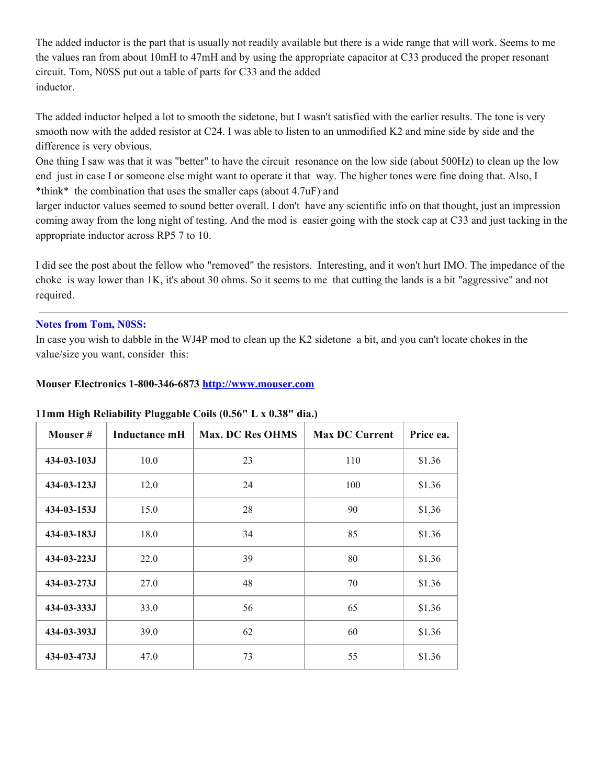The added inductor is the part that is usually not readily available but there is a wide range that will work. Seems to me the values ran from about 10mH to 47mH and by using the appropriate capacitor at C33 produced the proper resonant circuit. Tom, N0SS put out a table of parts for C33 and the added inductor.

The added inductor helped a lot to smooth the sidetone, but I wasn't satisfied with the earlier results. The tone is very smooth now with the added resistor at C24. I was able to listen to an unmodified K2 and mine side by side and the difference is very obvious.

One thing I saw was that it was "better" to have the circuit resonance on the low side (about 500Hz) to clean up the low end just in case I or someone else might want to operate it that way. The higher tones were fine doing that. Also, I \*think\* the combination that uses the smaller caps (about 4.7uF) and

larger inductor values seemed to sound better overall. I don't have any scientific info on that thought, just an impression coming away from the long night of testing. And the mod is easier going with the stock cap at C33 and just tacking in the appropriate inductor across RP5 7 to 10.

I did see the post about the fellow who "removed" the resistors. Interesting, and it won't hurt IMO. The impedance of the choke is way lower than 1K, it's about 30 ohms. So it seems to me that cutting the lands is a bit "aggressive" and not required.

### **Notes from Tom, N0SS:**

In case you wish to dabble in the WJ4P mod to clean up the K2 sidetone a bit, and you can't locate chokes in the value/size you want, consider this:

#### **Mouser Electronics 1-800-346-6873 [http://www.mouser.com](https://web.archive.org/web/20170705100129/http://www.mouser.com/)**

| Mouser#            | Inductance mH | <b>Max. DC Res OHMS</b> | <b>Max DC Current</b> | Price ea. |
|--------------------|---------------|-------------------------|-----------------------|-----------|
| 434-03-103J        | 10.0          | 23                      | 110                   | \$1.36    |
| $434 - 03 - 123$   | 12.0          | 24                      | 100                   | \$1.36    |
| $434 - 03 - 153$   | 15.0          | 28                      | 90                    | \$1.36    |
| $434 - 03 - 183J$  | 18.0          | 34                      | 85                    | \$1.36    |
| $434 - 03 - 223$ J | 22.0          | 39                      | 80                    | \$1.36    |
| 434-03-273J        | 27.0          | 48                      | 70                    | \$1.36    |
| 434-03-333J        | 33.0          | 56                      | 65                    | \$1.36    |
| 434-03-393J        | 39.0          | 62                      | 60                    | \$1.36    |
| 434-03-473J        | 47.0          | 73                      | 55                    | \$1.36    |

#### **11mm High Reliability Pluggable Coils (0.56" L x 0.38" dia.)**